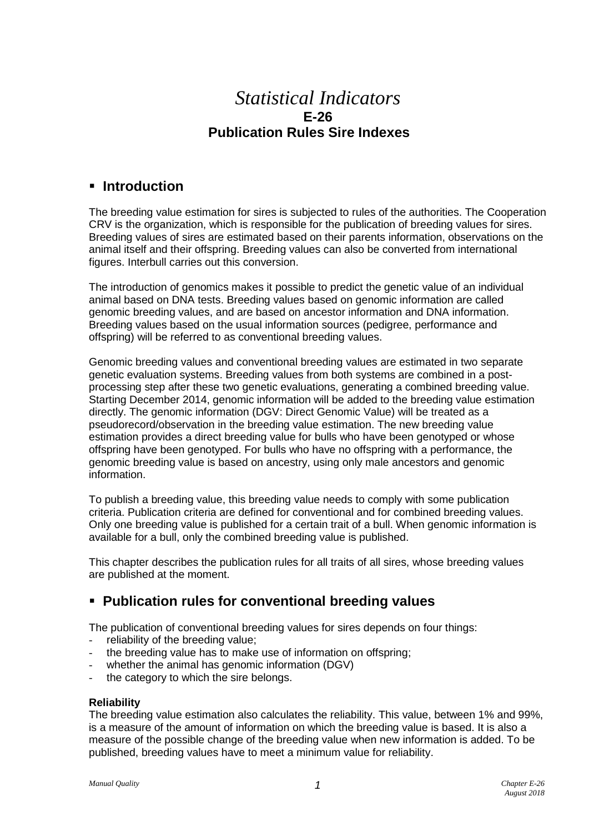# *Statistical Indicators* **E-26 Publication Rules Sire Indexes**

### ▪ **Introduction**

The breeding value estimation for sires is subjected to rules of the authorities. The Cooperation CRV is the organization, which is responsible for the publication of breeding values for sires. Breeding values of sires are estimated based on their parents information, observations on the animal itself and their offspring. Breeding values can also be converted from international figures. Interbull carries out this conversion.

The introduction of genomics makes it possible to predict the genetic value of an individual animal based on DNA tests. Breeding values based on genomic information are called genomic breeding values, and are based on ancestor information and DNA information. Breeding values based on the usual information sources (pedigree, performance and offspring) will be referred to as conventional breeding values.

Genomic breeding values and conventional breeding values are estimated in two separate genetic evaluation systems. Breeding values from both systems are combined in a postprocessing step after these two genetic evaluations, generating a combined breeding value. Starting December 2014, genomic information will be added to the breeding value estimation directly. The genomic information (DGV: Direct Genomic Value) will be treated as a pseudorecord/observation in the breeding value estimation. The new breeding value estimation provides a direct breeding value for bulls who have been genotyped or whose offspring have been genotyped. For bulls who have no offspring with a performance, the genomic breeding value is based on ancestry, using only male ancestors and genomic information.

To publish a breeding value, this breeding value needs to comply with some publication criteria. Publication criteria are defined for conventional and for combined breeding values. Only one breeding value is published for a certain trait of a bull. When genomic information is available for a bull, only the combined breeding value is published.

This chapter describes the publication rules for all traits of all sires, whose breeding values are published at the moment.

# ▪ **Publication rules for conventional breeding values**

The publication of conventional breeding values for sires depends on four things:

- reliability of the breeding value;
- the breeding value has to make use of information on offspring;
- whether the animal has genomic information (DGV)
- the category to which the sire belongs.

#### **Reliability**

The breeding value estimation also calculates the reliability. This value, between 1% and 99%, is a measure of the amount of information on which the breeding value is based. It is also a measure of the possible change of the breeding value when new information is added. To be published, breeding values have to meet a minimum value for reliability.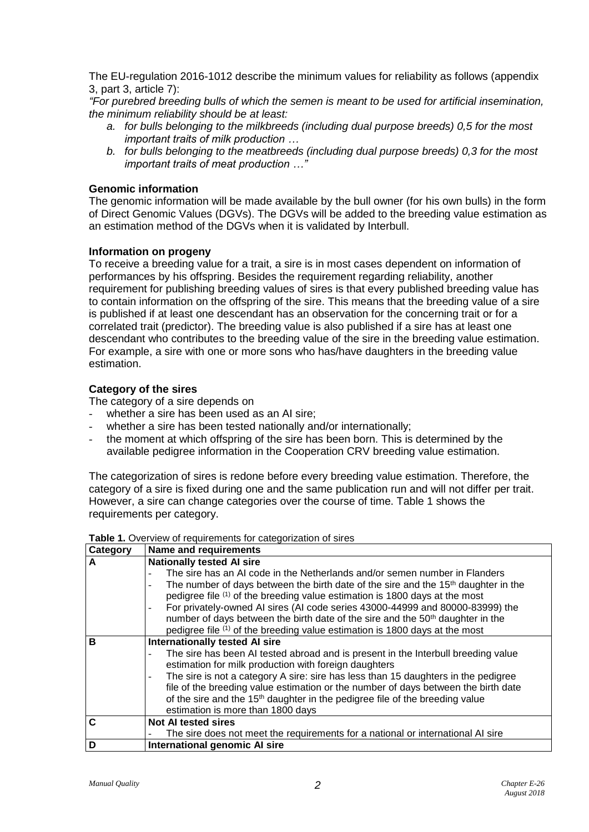The EU-regulation 2016-1012 describe the minimum values for reliability as follows (appendix 3, part 3, article 7):

*"For purebred breeding bulls of which the semen is meant to be used for artificial insemination, the minimum reliability should be at least:*

- *a. for bulls belonging to the milkbreeds (including dual purpose breeds) 0,5 for the most important traits of milk production …*
- *b. for bulls belonging to the meatbreeds (including dual purpose breeds) 0,3 for the most important traits of meat production …"*

#### **Genomic information**

The genomic information will be made available by the bull owner (for his own bulls) in the form of Direct Genomic Values (DGVs). The DGVs will be added to the breeding value estimation as an estimation method of the DGVs when it is validated by Interbull.

#### **Information on progeny**

To receive a breeding value for a trait, a sire is in most cases dependent on information of performances by his offspring. Besides the requirement regarding reliability, another requirement for publishing breeding values of sires is that every published breeding value has to contain information on the offspring of the sire. This means that the breeding value of a sire is published if at least one descendant has an observation for the concerning trait or for a correlated trait (predictor). The breeding value is also published if a sire has at least one descendant who contributes to the breeding value of the sire in the breeding value estimation. For example, a sire with one or more sons who has/have daughters in the breeding value estimation.

#### **Category of the sires**

The category of a sire depends on

- whether a sire has been used as an AI sire;
- whether a sire has been tested nationally and/or internationally;
- the moment at which offspring of the sire has been born. This is determined by the available pedigree information in the Cooperation CRV breeding value estimation.

The categorization of sires is redone before every breeding value estimation. Therefore, the category of a sire is fixed during one and the same publication run and will not differ per trait. However, a sire can change categories over the course of time. Table 1 shows the requirements per category.

#### Table 1. Overview of requirements for categorization of sires

| Category | Name and requirements                                                                                                      |  |  |
|----------|----------------------------------------------------------------------------------------------------------------------------|--|--|
| A        | <b>Nationally tested AI sire</b>                                                                                           |  |  |
|          | The sire has an AI code in the Netherlands and/or semen number in Flanders                                                 |  |  |
|          | The number of days between the birth date of the sire and the 15 <sup>th</sup> daughter in the<br>$\overline{\phantom{0}}$ |  |  |
|          | pedigree file (1) of the breeding value estimation is 1800 days at the most                                                |  |  |
|          | For privately-owned AI sires (AI code series 43000-44999 and 80000-83999) the                                              |  |  |
|          | number of days between the birth date of the sire and the 50 <sup>th</sup> daughter in the                                 |  |  |
|          | pedigree file (1) of the breeding value estimation is 1800 days at the most                                                |  |  |
| в        | <b>Internationally tested AI sire</b>                                                                                      |  |  |
|          | The sire has been AI tested abroad and is present in the Interbull breeding value                                          |  |  |
|          | estimation for milk production with foreign daughters                                                                      |  |  |
|          | The sire is not a category A sire: sire has less than 15 daughters in the pedigree                                         |  |  |
|          | file of the breeding value estimation or the number of days between the birth date                                         |  |  |
|          | of the sire and the 15 <sup>th</sup> daughter in the pedigree file of the breeding value                                   |  |  |
|          | estimation is more than 1800 days                                                                                          |  |  |
| C        | <b>Not AI tested sires</b>                                                                                                 |  |  |
|          | The sire does not meet the requirements for a national or international AI sire                                            |  |  |
| D        | International genomic AI sire                                                                                              |  |  |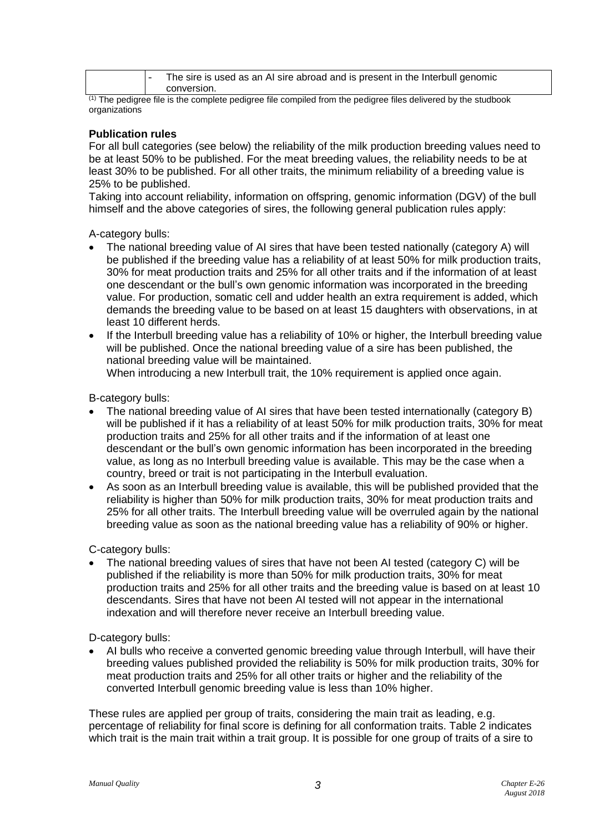|  | The sire is used as an AI sire abroad and is present in the Interbull genomic |
|--|-------------------------------------------------------------------------------|
|  | conversion.                                                                   |

(1) The pedigree file is the complete pedigree file compiled from the pedigree files delivered by the studbook organizations

#### **Publication rules**

For all bull categories (see below) the reliability of the milk production breeding values need to be at least 50% to be published. For the meat breeding values, the reliability needs to be at least 30% to be published. For all other traits, the minimum reliability of a breeding value is 25% to be published.

Taking into account reliability, information on offspring, genomic information (DGV) of the bull himself and the above categories of sires, the following general publication rules apply:

A-category bulls:

- The national breeding value of AI sires that have been tested nationally (category A) will be published if the breeding value has a reliability of at least 50% for milk production traits, 30% for meat production traits and 25% for all other traits and if the information of at least one descendant or the bull's own genomic information was incorporated in the breeding value. For production, somatic cell and udder health an extra requirement is added, which demands the breeding value to be based on at least 15 daughters with observations, in at least 10 different herds.
- If the Interbull breeding value has a reliability of 10% or higher, the Interbull breeding value will be published. Once the national breeding value of a sire has been published, the national breeding value will be maintained.

When introducing a new Interbull trait, the 10% requirement is applied once again.

B-category bulls:

- The national breeding value of AI sires that have been tested internationally (category B) will be published if it has a reliability of at least 50% for milk production traits, 30% for meat production traits and 25% for all other traits and if the information of at least one descendant or the bull's own genomic information has been incorporated in the breeding value, as long as no Interbull breeding value is available. This may be the case when a country, breed or trait is not participating in the Interbull evaluation.
- As soon as an Interbull breeding value is available, this will be published provided that the reliability is higher than 50% for milk production traits, 30% for meat production traits and 25% for all other traits. The Interbull breeding value will be overruled again by the national breeding value as soon as the national breeding value has a reliability of 90% or higher.

C-category bulls:

• The national breeding values of sires that have not been AI tested (category C) will be published if the reliability is more than 50% for milk production traits, 30% for meat production traits and 25% for all other traits and the breeding value is based on at least 10 descendants. Sires that have not been AI tested will not appear in the international indexation and will therefore never receive an Interbull breeding value.

D-category bulls:

• AI bulls who receive a converted genomic breeding value through Interbull, will have their breeding values published provided the reliability is 50% for milk production traits, 30% for meat production traits and 25% for all other traits or higher and the reliability of the converted Interbull genomic breeding value is less than 10% higher.

These rules are applied per group of traits, considering the main trait as leading, e.g. percentage of reliability for final score is defining for all conformation traits. Table 2 indicates which trait is the main trait within a trait group. It is possible for one group of traits of a sire to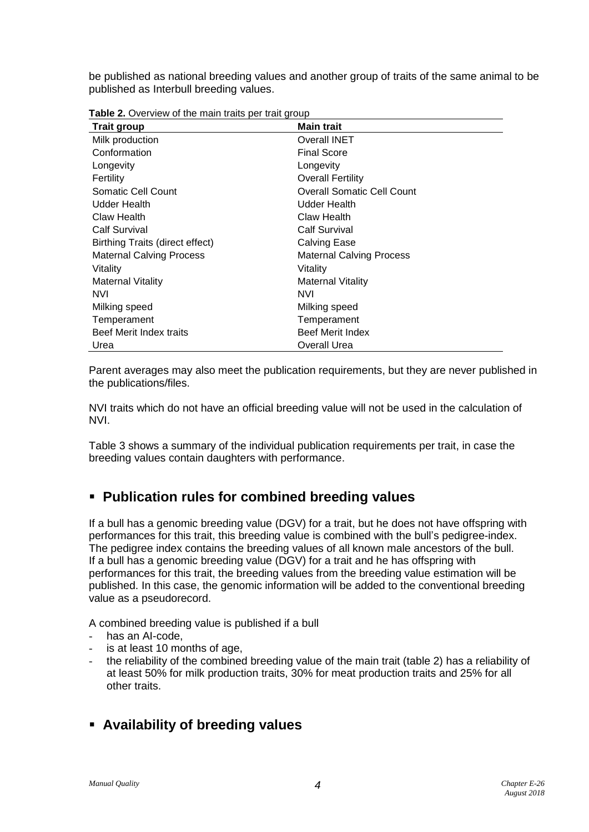be published as national breeding values and another group of traits of the same animal to be published as Interbull breeding values.

| Table 2. Overview of the main traits per trait group |  |
|------------------------------------------------------|--|
|------------------------------------------------------|--|

| <b>Trait group</b>                     | <b>Main trait</b>                 |
|----------------------------------------|-----------------------------------|
| Milk production                        | <b>Overall INET</b>               |
| Conformation                           | <b>Final Score</b>                |
| Longevity                              | Longevity                         |
| Fertility                              | <b>Overall Fertility</b>          |
| Somatic Cell Count                     | <b>Overall Somatic Cell Count</b> |
| Udder Health                           | Udder Health                      |
| Claw Health                            | Claw Health                       |
| <b>Calf Survival</b>                   | <b>Calf Survival</b>              |
| <b>Birthing Traits (direct effect)</b> | <b>Calving Ease</b>               |
| <b>Maternal Calving Process</b>        | <b>Maternal Calving Process</b>   |
| Vitality                               | Vitality                          |
| Maternal Vitality                      | <b>Maternal Vitality</b>          |
| <b>NVI</b>                             | <b>NVI</b>                        |
| Milking speed                          | Milking speed                     |
| Temperament                            | Temperament                       |
| Beef Merit Index traits                | <b>Beef Merit Index</b>           |
| Urea                                   | Overall Urea                      |

Parent averages may also meet the publication requirements, but they are never published in the publications/files.

NVI traits which do not have an official breeding value will not be used in the calculation of NVI.

Table 3 shows a summary of the individual publication requirements per trait, in case the breeding values contain daughters with performance.

## ▪ **Publication rules for combined breeding values**

If a bull has a genomic breeding value (DGV) for a trait, but he does not have offspring with performances for this trait, this breeding value is combined with the bull's pedigree-index. The pedigree index contains the breeding values of all known male ancestors of the bull. If a bull has a genomic breeding value (DGV) for a trait and he has offspring with performances for this trait, the breeding values from the breeding value estimation will be published. In this case, the genomic information will be added to the conventional breeding value as a pseudorecord.

A combined breeding value is published if a bull

- has an AI-code.
- is at least 10 months of age,
- the reliability of the combined breeding value of the main trait (table 2) has a reliability of at least 50% for milk production traits, 30% for meat production traits and 25% for all other traits.
- **Availability of breeding values**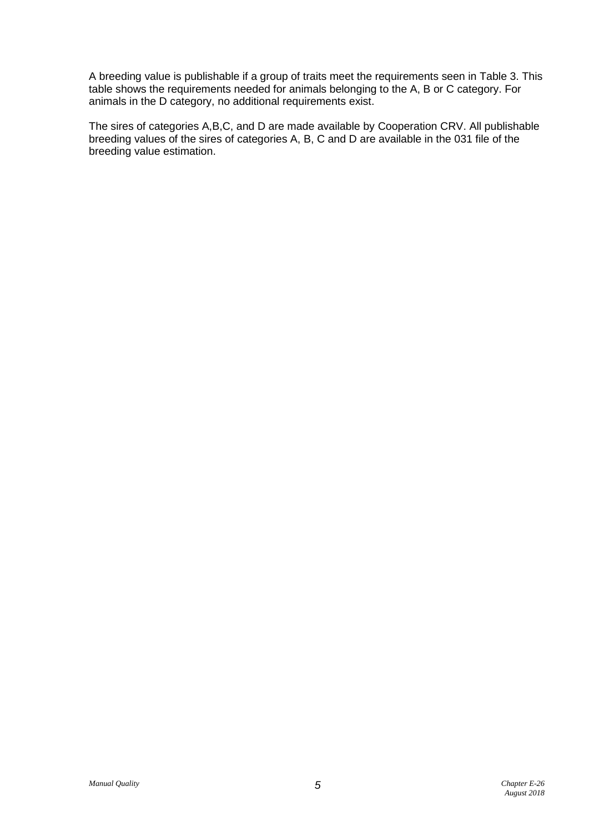A breeding value is publishable if a group of traits meet the requirements seen in Table 3. This table shows the requirements needed for animals belonging to the A, B or C category. For animals in the D category, no additional requirements exist.

The sires of categories A,B,C, and D are made available by Cooperation CRV. All publishable breeding values of the sires of categories A, B, C and D are available in the 031 file of the breeding value estimation.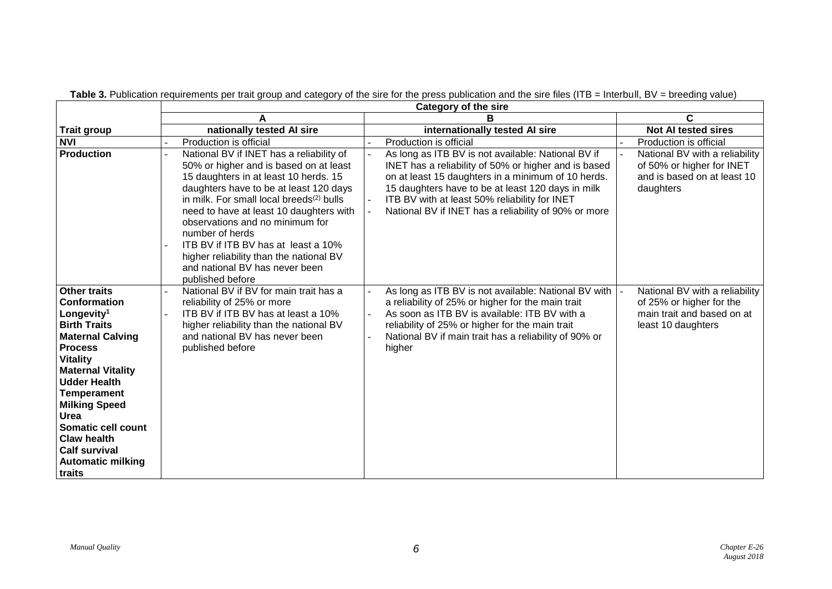|                                                                                                                                                                                                                                                                                                                                                                                | <b>Category of the sire</b>                                                                                                                                                                                                                                                                                                                                                                                                                                            |                                                                                                                                                                                                                                                                                                                                |                                                                                                                |  |
|--------------------------------------------------------------------------------------------------------------------------------------------------------------------------------------------------------------------------------------------------------------------------------------------------------------------------------------------------------------------------------|------------------------------------------------------------------------------------------------------------------------------------------------------------------------------------------------------------------------------------------------------------------------------------------------------------------------------------------------------------------------------------------------------------------------------------------------------------------------|--------------------------------------------------------------------------------------------------------------------------------------------------------------------------------------------------------------------------------------------------------------------------------------------------------------------------------|----------------------------------------------------------------------------------------------------------------|--|
|                                                                                                                                                                                                                                                                                                                                                                                |                                                                                                                                                                                                                                                                                                                                                                                                                                                                        |                                                                                                                                                                                                                                                                                                                                | C                                                                                                              |  |
| <b>Trait group</b>                                                                                                                                                                                                                                                                                                                                                             | nationally tested AI sire                                                                                                                                                                                                                                                                                                                                                                                                                                              | internationally tested AI sire                                                                                                                                                                                                                                                                                                 | <b>Not AI tested sires</b>                                                                                     |  |
| <b>NVI</b>                                                                                                                                                                                                                                                                                                                                                                     | Production is official                                                                                                                                                                                                                                                                                                                                                                                                                                                 | Production is official                                                                                                                                                                                                                                                                                                         | Production is official                                                                                         |  |
| <b>Production</b>                                                                                                                                                                                                                                                                                                                                                              | National BV if INET has a reliability of<br>50% or higher and is based on at least<br>15 daughters in at least 10 herds. 15<br>daughters have to be at least 120 days<br>in milk. For small local breeds <sup>(2)</sup> bulls<br>need to have at least 10 daughters with<br>observations and no minimum for<br>number of herds<br>ITB BV if ITB BV has at least a 10%<br>higher reliability than the national BV<br>and national BV has never been<br>published before | As long as ITB BV is not available: National BV if<br>INET has a reliability of 50% or higher and is based<br>on at least 15 daughters in a minimum of 10 herds.<br>15 daughters have to be at least 120 days in milk<br>ITB BV with at least 50% reliability for INET<br>National BV if INET has a reliability of 90% or more | National BV with a reliability<br>of 50% or higher for INET<br>and is based on at least 10<br>daughters        |  |
| <b>Other traits</b><br><b>Conformation</b><br>Longevity <sup>1</sup><br><b>Birth Traits</b><br><b>Maternal Calving</b><br><b>Process</b><br><b>Vitality</b><br><b>Maternal Vitality</b><br><b>Udder Health</b><br><b>Temperament</b><br><b>Milking Speed</b><br>Urea<br>Somatic cell count<br><b>Claw health</b><br><b>Calf survival</b><br><b>Automatic milking</b><br>traits | National BV if BV for main trait has a<br>reliability of 25% or more<br>ITB BV if ITB BV has at least a 10%<br>higher reliability than the national BV<br>and national BV has never been<br>published before                                                                                                                                                                                                                                                           | As long as ITB BV is not available: National BV with<br>a reliability of 25% or higher for the main trait<br>As soon as ITB BV is available: ITB BV with a<br>reliability of 25% or higher for the main trait<br>National BV if main trait has a reliability of 90% or<br>higher                                               | National BV with a reliability<br>of 25% or higher for the<br>main trait and based on at<br>least 10 daughters |  |

Table 3. Publication requirements per trait group and category of the sire for the press publication and the sire files (ITB = Interbull, BV = breeding value)